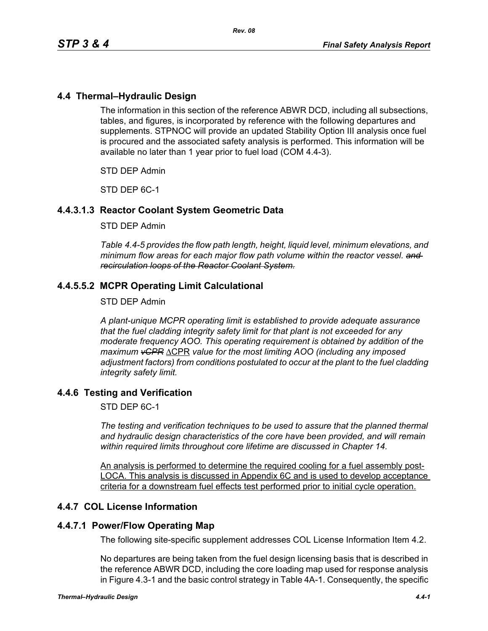# **4.4 Thermal–Hydraulic Design**

The information in this section of the reference ABWR DCD, including all subsections, tables, and figures, is incorporated by reference with the following departures and supplements. STPNOC will provide an updated Stability Option III analysis once fuel is procured and the associated safety analysis is performed. This information will be available no later than 1 year prior to fuel load (COM 4.4-3).

STD DEP Admin

STD DEP 6C-1

# **4.4.3.1.3 Reactor Coolant System Geometric Data**

#### STD DEP Admin

*Table 4.4-5 provides the flow path length, height, liquid level, minimum elevations, and minimum flow areas for each major flow path volume within the reactor vessel. and recirculation loops of the Reactor Coolant System.*

# **4.4.5.5.2 MCPR Operating Limit Calculational**

#### STD DEP Admin

*A plant-unique MCPR operating limit is established to provide adequate assurance that the fuel cladding integrity safety limit for that plant is not exceeded for any moderate frequency AOO. This operating requirement is obtained by addition of the maximum vCPR* ΔCPR *value for the most limiting AOO (including any imposed adjustment factors) from conditions postulated to occur at the plant to the fuel cladding integrity safety limit.*

## **4.4.6 Testing and Verification**

STD DEP 6C-1

*The testing and verification techniques to be used to assure that the planned thermal and hydraulic design characteristics of the core have been provided, and will remain within required limits throughout core lifetime are discussed in Chapter 14.*

An analysis is performed to determine the required cooling for a fuel assembly post-LOCA. This analysis is discussed in Appendix 6C and is used to develop acceptance criteria for a downstream fuel effects test performed prior to initial cycle operation.

## **4.4.7 COL License Information**

## **4.4.7.1 Power/Flow Operating Map**

The following site-specific supplement addresses COL License Information Item 4.2.

No departures are being taken from the fuel design licensing basis that is described in the reference ABWR DCD, including the core loading map used for response analysis in Figure 4.3-1 and the basic control strategy in Table 4A-1. Consequently, the specific